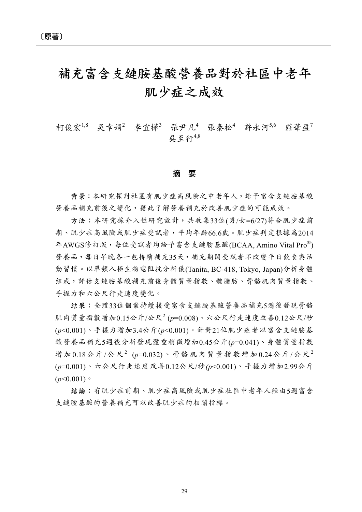## 補充富含支鏈胺基酸營養品對於社區中老年 肌少症之成效

柯俊宏<sup>1,8</sup> 吴幸娟<sup>2</sup> 李宜樺3 張尹凡4 張秦松4 許永河5,6 莊華盈7 吳至行4,8

## 摘 要

背景:本研究探討社區有肌少症高風險之中老年人,給予富含支鏈胺基酸 營養品補充前後之變化,藉此了解營養補充於改善肌少症的可能成效。

方法:本研究採介入性研究設計,共收集33位(男/女=6/27)符合肌少症前 期、肌少症高風險或肌少症受試者,平均年齡66.6歲。肌少症判定根據為2014 年AWGS修訂版,每位受試者均給予富含支鏈胺基酸(BCAA, Amino Vital Pro®) 營養品,每日早晚各一包持續補充35天,補充期間受試者不改變平日飲食與活 動習慣。以單頻八極生物電阻抗分析儀(Tanita, BC-418, Tokyo, Japan)分析身體 組成,評估支鏈胺基酸補充前後身體質量指數、體脂肪、骨骼肌肉質量指數、 手握力和六公尺行走速度變化。

結果:全體33位個案持續接受富含支鏈胺基酸營養品補充5週後發現骨骼 肌肉質量指數增加0.15公斤/公尺<sup>2</sup> (*p*=0.008)、六公尺行走速度改善0.12公尺/秒 (*p*<0.001)、手握力增加3.4公斤(*p*<0.001)。針對21位肌少症者以富含支鏈胺基 酸營養品補充5週後分析發現體重稍微增加0.45公斤(*p*=0.041)、身體質量指數 增加 0.18公斤/公尺<sup>2</sup> (p=0.032)、骨骼肌肉質量指數增加 0.24公斤/公尺<sup>2</sup> (*p*=0.001)、六公尺行走速度改善0.12公尺/秒*(p*<0.001)、手握力增加2.99公斤  $(p<0.001)$ 

結論:有肌少症前期、肌少症高風險或肌少症社區中老年人經由5週富含 支鏈胺基酸的營養補充可以改善肌少症的相關指標。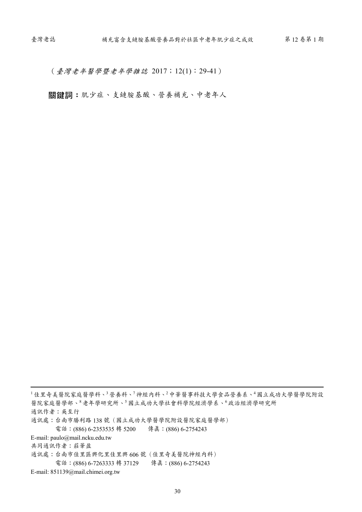(臺灣老年醫學暨老年學雜誌 2017;12(1):29-41)

關鍵詞:肌少症、支鏈胺基酸、營養補充、中老年人

<sup>1</sup>佳里奇美醫院家庭醫學科、<sup>3</sup>營養科、<sup>7</sup>神經內科、<sup>2</sup>中華醫事科技大學食品營養系、<sup>4</sup>國立成功大學醫學院附設 醫院家庭醫學部、<sup>8</sup>老年學研究所、<sup>5</sup>國立成功大學社會科學院經濟學系、<sup>6</sup>政治經濟學研究所 通訊作者:吳至行 通訊處:台南市勝利路 138 號(國立成功大學醫學院附設醫院家庭醫學部) 電話:(886) 6-2353535 轉 5200 傳真:(886) 6-2754243 E-mail: paulo@mail.ncku.edu.tw 共同通訊作者:莊華盈 通訊處:台南市佳里區興化里佳里興 606 號(佳里奇美醫院神經內科) 電話:(886) 6-7263333 轉 37129 傳真:(886) 6-2754243

E-mail: 851139@mail.chimei.org.tw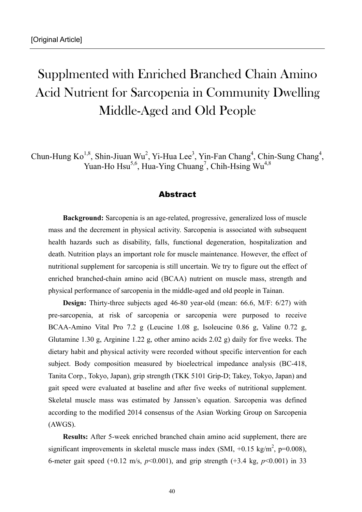## Supplmented with Enriched Branched Chain Amino Acid Nutrient for Sarcopenia in Community Dwelling Middle-Aged and Old People

Chun-Hung Ko<sup>1,8</sup>, Shin-Jiuan Wu<sup>2</sup>, Yi-Hua Lee<sup>3</sup>, Yin-Fan Chang<sup>4</sup>, Chin-Sung Chang<sup>4</sup>, Yuan-Ho Hsu<sup>5,6</sup>, Hua-Ying Chuang<sup>7</sup>, Chih-Hsing Wu<sup>4,8</sup>

## Abstract

 **Background:** Sarcopenia is an age-related, progressive, generalized loss of muscle mass and the decrement in physical activity. Sarcopenia is associated with subsequent health hazards such as disability, falls, functional degeneration, hospitalization and death. Nutrition plays an important role for muscle maintenance. However, the effect of nutritional supplement for sarcopenia is still uncertain. We try to figure out the effect of enriched branched-chain amino acid (BCAA) nutrient on muscle mass, strength and physical performance of sarcopenia in the middle-aged and old people in Tainan.

 **Design:** Thirty-three subjects aged 46-80 year-old (mean: 66.6, M/F: 6/27) with pre-sarcopenia, at risk of sarcopenia or sarcopenia were purposed to receive BCAA-Amino Vital Pro 7.2 g (Leucine 1.08 g, Isoleucine 0.86 g, Valine 0.72 g, Glutamine 1.30 g, Arginine 1.22 g, other amino acids 2.02 g) daily for five weeks. The dietary habit and physical activity were recorded without specific intervention for each subject. Body composition measured by bioelectrical impedance analysis (BC-418, Tanita Corp., Tokyo, Japan), grip strength (TKK 5101 Grip-D; Takey, Tokyo, Japan) and gait speed were evaluated at baseline and after five weeks of nutritional supplement. Skeletal muscle mass was estimated by Janssen's equation. Sarcopenia was defined according to the modified 2014 consensus of the Asian Working Group on Sarcopenia (AWGS).

 **Results:** After 5-week enriched branched chain amino acid supplement, there are significant improvements in skeletal muscle mass index (SMI,  $+0.15 \text{ kg/m}^2$ , p=0.008), 6-meter gait speed  $(+0.12 \text{ m/s}, p<0.001)$ , and grip strength  $(+3.4 \text{ kg}, p<0.001)$  in 33